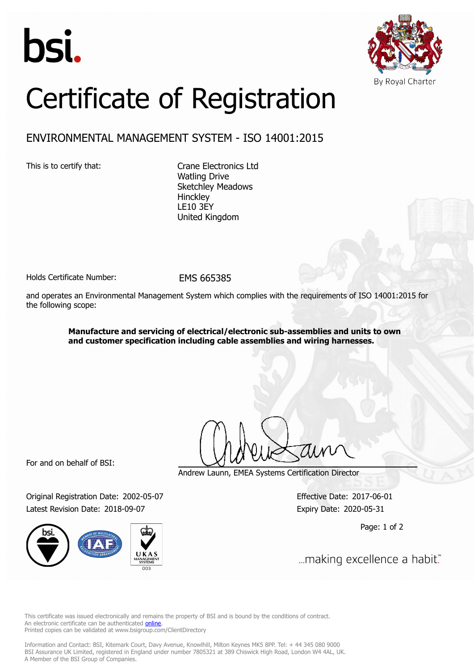



# Certificate of Registration

## ENVIRONMENTAL MANAGEMENT SYSTEM - ISO 14001:2015

This is to certify that: Crane Electronics Ltd Watling Drive Sketchley Meadows **Hinckley** LE10 3EY United Kingdom

Holds Certificate Number: EMS 665385

and operates an Environmental Management System which complies with the requirements of ISO 14001:2015 for the following scope:

> **Manufacture and servicing of electrical/electronic sub-assemblies and units to own and customer specification including cable assemblies and wiring harnesses.**

For and on behalf of BSI:

Original Registration Date: 2002-05-07 Effective Date: 2017-06-01 Latest Revision Date: 2018-09-07 **Expiry Date: 2020-05-31** 



Andrew Launn, EMEA Systems Certification Director

Page: 1 of 2

... making excellence a habit."

This certificate was issued electronically and remains the property of BSI and is bound by the conditions of contract. An electronic certificate can be authenticated **[online](https://pgplus.bsigroup.com/CertificateValidation/CertificateValidator.aspx?CertificateNumber=EMS+665385&ReIssueDate=07%2f09%2f2018&Template=uk)**. Printed copies can be validated at www.bsigroup.com/ClientDirectory

Information and Contact: BSI, Kitemark Court, Davy Avenue, Knowlhill, Milton Keynes MK5 8PP. Tel: + 44 345 080 9000 BSI Assurance UK Limited, registered in England under number 7805321 at 389 Chiswick High Road, London W4 4AL, UK. A Member of the BSI Group of Companies.